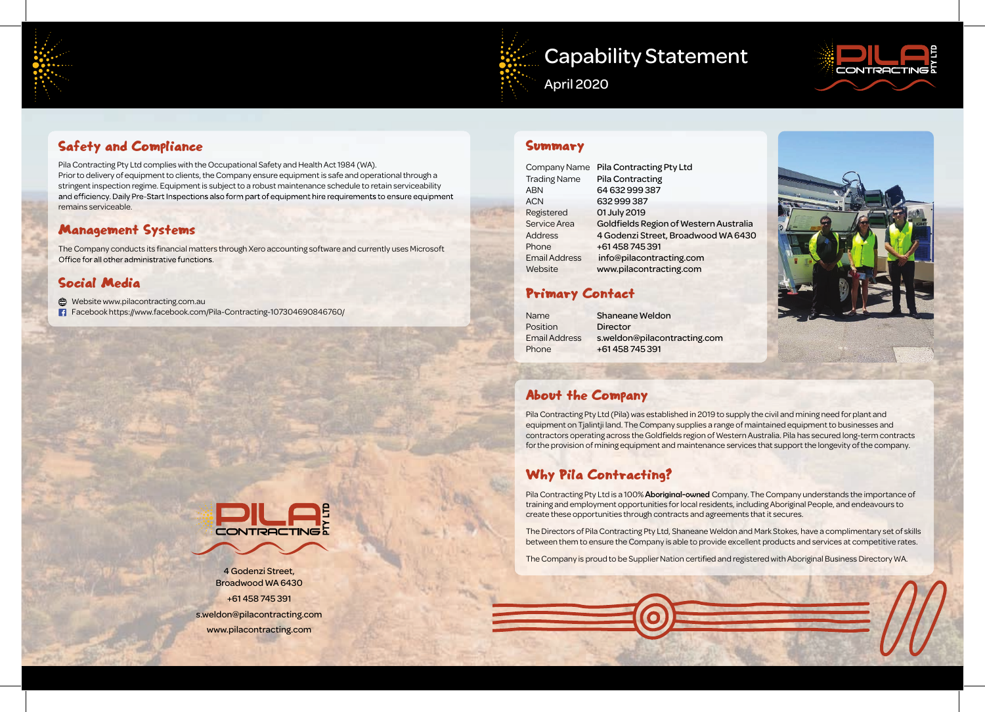# Capability Statement



CONTRE

April 2020

#### Summary

| Company Name         | <b>Pila Contracting Pty Ltd</b>        |
|----------------------|----------------------------------------|
| <b>Trading Name</b>  | <b>Pila Contracting</b>                |
| <b>ABN</b>           | 64 632 999 387                         |
| <b>ACN</b>           | 632999387                              |
| Registered           | 01 July 2019                           |
| <b>Service Area</b>  | Goldfields Region of Western Australia |
| <b>Address</b>       | 4 Godenzi Street, Broadwood WA 6430    |
| Phone                | +61458745391                           |
| <b>Email Address</b> | info@pilacontracting.com               |
| Website              | www.pilacontracting.com                |
|                      |                                        |

### Primary Contact

| Name                 | <b>Shaneane Weldon</b>       |
|----------------------|------------------------------|
| Position             | <b>Director</b>              |
| <b>Email Address</b> | s.weldon@pilacontracting.com |
| Phone                | +61 458 745 391              |

## About the Company

Pila Contracting Pty Ltd is a 100% Aboriginal-owned Company. The Company understands the importance of training and employment opportunities for local residents, including Aboriginal People, and endeavours to create these opportunities through contracts and agreements that it secures.

Pila Contracting Pty Ltd (Pila) was established in 2019 to supply the civil and mining need for plant and equipment on Tjalintji land. The Company supplies a range of maintained equipment to businesses and contractors operating across the Goldfields region of Western Australia. Pila has secured long-term contracts for the provision of mining equipment and maintenance services that support the longevity of the company.

## Why Pila Contracting?

**Website www.pilacontracting.com.au** Facebook https://www.facebook.com/Pila-Contracting-107304690846760/

> The Directors of Pila Contracting Pty Ltd, Shaneane Weldon and Mark Stokes, have a complimentary set of skills between them to ensure the Company is able to provide excellent products and services at competitive rates.

The Company is proud to be Supplier Nation certified and registered with Aboriginal Business Directory WA.



4 Godenzi Street, Broadwood WA 6430 +61 458 745 391 s.weldon@pilacontracting.com www.pilacontracting.com

# Safety and Compliance

Pila Contracting Pty Ltd complies with the Occupational Safety and Health Act 1984 (WA). Prior to delivery of equipment to clients, the Company ensure equipment is safe and operational through a stringent inspection regime. Equipment is subject to a robust maintenance schedule to retain serviceability and efficiency. Daily Pre-Start Inspections also form part of equipment hire requirements to ensure equipment remains serviceable.

#### Management Systems

The Company conducts its financial matters through Xero accounting software and currently uses Microsoft Office for all other administrative functions.

### Social Media